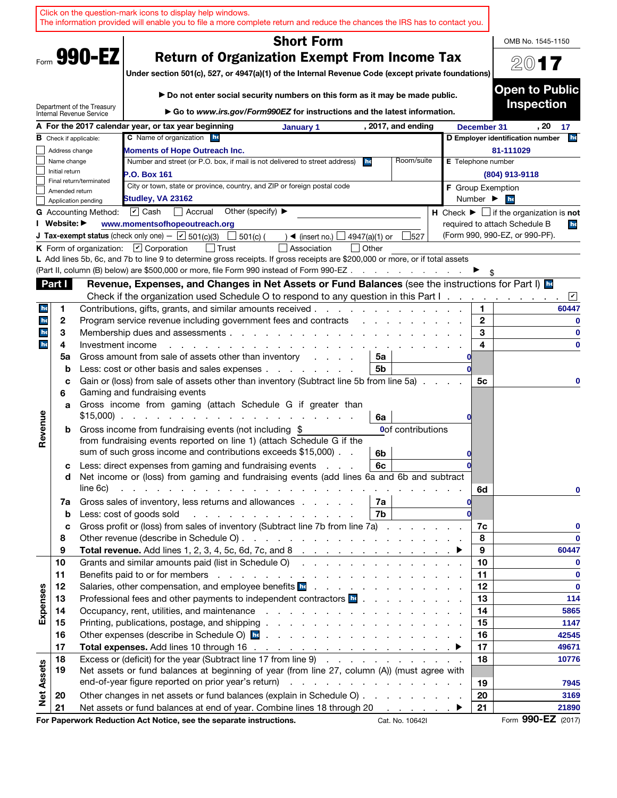|                   |                |                               | Click on the question-mark icons to display help windows.<br>The information provided will enable you to file a more complete return and reduce the chances the IRS has to contact you.                                            |                                                                                                                                                                                                                               |                          |                    |                              |                         |                                                                               |
|-------------------|----------------|-------------------------------|------------------------------------------------------------------------------------------------------------------------------------------------------------------------------------------------------------------------------------|-------------------------------------------------------------------------------------------------------------------------------------------------------------------------------------------------------------------------------|--------------------------|--------------------|------------------------------|-------------------------|-------------------------------------------------------------------------------|
|                   |                |                               |                                                                                                                                                                                                                                    | <b>Short Form</b>                                                                                                                                                                                                             |                          |                    |                              |                         | OMB No. 1545-1150                                                             |
|                   |                | Form 990-EZ                   | <b>Return of Organization Exempt From Income Tax</b>                                                                                                                                                                               |                                                                                                                                                                                                                               |                          |                    |                              |                         | 2017                                                                          |
|                   |                |                               | Under section 501(c), 527, or 4947(a)(1) of the Internal Revenue Code (except private foundations)                                                                                                                                 |                                                                                                                                                                                                                               |                          |                    |                              |                         |                                                                               |
|                   |                |                               |                                                                                                                                                                                                                                    |                                                                                                                                                                                                                               |                          |                    |                              |                         | <b>Open to Public</b>                                                         |
|                   |                | Department of the Treasury    | Do not enter social security numbers on this form as it may be made public.                                                                                                                                                        |                                                                                                                                                                                                                               |                          |                    |                              |                         | <b>Inspection</b>                                                             |
|                   |                | Internal Revenue Service      | Go to www.irs.gov/Form990EZ for instructions and the latest information.                                                                                                                                                           |                                                                                                                                                                                                                               |                          |                    |                              |                         |                                                                               |
|                   |                | <b>B</b> Check if applicable: | A For the 2017 calendar year, or tax year beginning<br><b>C</b> Name of organization he                                                                                                                                            | January 1                                                                                                                                                                                                                     |                          | , 2017, and ending | December 31                  |                         | . 20<br>17<br>he<br>D Employer identification number                          |
|                   | Address change |                               | Moments of Hope Outreach Inc.                                                                                                                                                                                                      |                                                                                                                                                                                                                               |                          |                    |                              |                         | 81-111029                                                                     |
|                   | Name change    |                               | Number and street (or P.O. box, if mail is not delivered to street address)                                                                                                                                                        |                                                                                                                                                                                                                               | he                       | Room/suite         | <b>E</b> Telephone number    |                         |                                                                               |
|                   | Initial return |                               | <b>P.O. Box 161</b>                                                                                                                                                                                                                |                                                                                                                                                                                                                               |                          |                    |                              |                         | (804) 913-9118                                                                |
|                   | Amended return | Final return/terminated       | City or town, state or province, country, and ZIP or foreign postal code                                                                                                                                                           |                                                                                                                                                                                                                               |                          |                    | <b>F</b> Group Exemption     |                         |                                                                               |
|                   |                | Application pending           | Studley, VA 23162                                                                                                                                                                                                                  |                                                                                                                                                                                                                               |                          |                    | Number $\blacktriangleright$ |                         | he                                                                            |
|                   |                | <b>G</b> Accounting Method:   | $\triangleright$ Cash<br>Other (specify) $\blacktriangleright$<br>  Accrual                                                                                                                                                        |                                                                                                                                                                                                                               |                          |                    |                              |                         | <b>H</b> Check $\blacktriangleright$ $\Box$ if the organization is <b>not</b> |
|                   | I Website: ▶   |                               | www.momentsofhopeoutreach.org                                                                                                                                                                                                      |                                                                                                                                                                                                                               |                          |                    |                              |                         | required to attach Schedule B<br>he<br>(Form 990, 990-EZ, or 990-PF).         |
|                   |                |                               | <b>J Tax-exempt status</b> (check only one) - $\boxed{\mathbf{v}}$ 501(c)(3)<br>$501(c)$ (<br>K Form of organization: $\boxed{V}$ Corporation                                                                                      | $\rightarrow$ (insert no.)<br>Association                                                                                                                                                                                     | 4947(a)(1) or<br>  Other | 527                |                              |                         |                                                                               |
|                   |                |                               | L Add lines 5b, 6c, and 7b to line 9 to determine gross receipts. If gross receipts are \$200,000 or more, or if total assets                                                                                                      |                                                                                                                                                                                                                               |                          |                    |                              |                         |                                                                               |
|                   |                |                               | (Part II, column (B) below) are \$500,000 or more, file Form 990 instead of Form 990-EZ                                                                                                                                            |                                                                                                                                                                                                                               |                          |                    |                              |                         |                                                                               |
|                   | Part I         |                               | Revenue, Expenses, and Changes in Net Assets or Fund Balances (see the instructions for Part I) <b>Re</b>                                                                                                                          |                                                                                                                                                                                                                               |                          |                    |                              |                         |                                                                               |
|                   |                |                               | Check if the organization used Schedule O to respond to any question in this Part I.                                                                                                                                               |                                                                                                                                                                                                                               |                          |                    |                              |                         | $ \mathcal{V} $                                                               |
| he                | 1              |                               | Contributions, gifts, grants, and similar amounts received.                                                                                                                                                                        |                                                                                                                                                                                                                               |                          |                    |                              | 1.                      | 60447                                                                         |
| he                | 2              |                               | Program service revenue including government fees and contracts                                                                                                                                                                    |                                                                                                                                                                                                                               |                          |                    |                              | $\mathbf{2}$            | 0                                                                             |
| he                | 3              |                               | Membership dues and assessments.                                                                                                                                                                                                   | a construction of the construction of the construction of the construction of the construction of the construction of the construction of the construction of the construction of the construction of the construction of the |                          |                    |                              | 3                       | $\bf{0}$                                                                      |
| he                | 4<br>5a        | Investment income             | Gross amount from sale of assets other than inventory                                                                                                                                                                              |                                                                                                                                                                                                                               |                          |                    |                              | $\overline{\mathbf{4}}$ | $\bf{0}$                                                                      |
|                   | b              |                               | Less: cost or other basis and sales expenses                                                                                                                                                                                       |                                                                                                                                                                                                                               | 5a<br>5b                 |                    |                              |                         |                                                                               |
|                   | c              |                               | Gain or (loss) from sale of assets other than inventory (Subtract line 5b from line 5a).                                                                                                                                           |                                                                                                                                                                                                                               |                          |                    |                              | 5с                      | 0                                                                             |
|                   | 6              |                               | Gaming and fundraising events                                                                                                                                                                                                      |                                                                                                                                                                                                                               |                          |                    |                              |                         |                                                                               |
|                   | a              |                               | Gross income from gaming (attach Schedule G if greater than                                                                                                                                                                        |                                                                                                                                                                                                                               |                          |                    |                              |                         |                                                                               |
| Revenue           |                |                               | $$15,000$                                                                                                                                                                                                                          |                                                                                                                                                                                                                               | 6a                       |                    |                              |                         |                                                                               |
|                   | b              |                               | Gross income from fundraising events (not including \$<br>from fundraising events reported on line 1) (attach Schedule G if the                                                                                                    |                                                                                                                                                                                                                               |                          | Oof contributions  |                              |                         |                                                                               |
|                   |                |                               | sum of such gross income and contributions exceeds \$15,000).                                                                                                                                                                      |                                                                                                                                                                                                                               | 6b                       |                    |                              |                         |                                                                               |
|                   | с              |                               | Less: direct expenses from gaming and fundraising events                                                                                                                                                                           |                                                                                                                                                                                                                               | 6с                       |                    |                              |                         |                                                                               |
|                   | d              |                               | Net income or (loss) from gaming and fundraising events (add lines 6a and 6b and subtract                                                                                                                                          |                                                                                                                                                                                                                               |                          |                    |                              |                         |                                                                               |
|                   |                | line 6c)                      | the contract of the contract of the contract of the contract of the contract of                                                                                                                                                    |                                                                                                                                                                                                                               |                          |                    |                              | 6d                      | 0                                                                             |
|                   | 7a             |                               | Gross sales of inventory, less returns and allowances                                                                                                                                                                              |                                                                                                                                                                                                                               | 7a                       |                    |                              |                         |                                                                               |
|                   | $\mathbf b$    |                               | Less: cost of goods sold<br><u>.</u>                                                                                                                                                                                               |                                                                                                                                                                                                                               | 7b                       |                    |                              |                         |                                                                               |
|                   | c              |                               | Gross profit or (loss) from sales of inventory (Subtract line 7b from line 7a)                                                                                                                                                     |                                                                                                                                                                                                                               |                          |                    |                              | 7c                      | 0                                                                             |
|                   | 8<br>9         |                               |                                                                                                                                                                                                                                    |                                                                                                                                                                                                                               |                          |                    |                              | 8<br>9                  | $\bf{0}$<br>60447                                                             |
|                   | 10             |                               | Grants and similar amounts paid (list in Schedule O)                                                                                                                                                                               |                                                                                                                                                                                                                               |                          |                    |                              | 10                      | $\mathbf 0$                                                                   |
|                   | 11             |                               |                                                                                                                                                                                                                                    |                                                                                                                                                                                                                               |                          |                    |                              | 11                      | $\bf{0}$                                                                      |
|                   | 12             |                               | Salaries, other compensation, and employee benefits <b>beter as a contract of the salaries</b> , other compensation, and employee benefits <b>beter as a contract of the contract of the salar</b>                                 |                                                                                                                                                                                                                               |                          |                    |                              | 12                      | $\bf{0}$                                                                      |
|                   | 13             |                               | Professional fees and other payments to independent contractors <b>be</b>                                                                                                                                                          |                                                                                                                                                                                                                               |                          |                    |                              | 13                      | 114                                                                           |
| Expenses          | 14             |                               |                                                                                                                                                                                                                                    |                                                                                                                                                                                                                               |                          |                    |                              | 14                      | 5865                                                                          |
|                   | 15             |                               |                                                                                                                                                                                                                                    |                                                                                                                                                                                                                               |                          |                    |                              | 15                      | 1147                                                                          |
|                   | 16             |                               | Other expenses (describe in Schedule O) <b>hence</b> is a contract to contract the contract of the contract of the contract of the contract of the contract of the contract of the contract of the contract of the contract of the |                                                                                                                                                                                                                               |                          |                    |                              | 16                      | 42545                                                                         |
|                   | 17<br>18       |                               | Excess or (deficit) for the year (Subtract line 17 from line 9)                                                                                                                                                                    |                                                                                                                                                                                                                               |                          |                    |                              | 17<br>18                | 49671<br>10776                                                                |
| <b>Net Assets</b> | 19             |                               | Net assets or fund balances at beginning of year (from line 27, column (A)) (must agree with                                                                                                                                       |                                                                                                                                                                                                                               |                          |                    |                              |                         |                                                                               |
|                   |                |                               |                                                                                                                                                                                                                                    |                                                                                                                                                                                                                               |                          |                    |                              | 19                      | 7945                                                                          |
|                   | 20             |                               | Other changes in net assets or fund balances (explain in Schedule O)                                                                                                                                                               |                                                                                                                                                                                                                               |                          |                    |                              | 20                      | 3169                                                                          |
|                   | 21             |                               | Net assets or fund balances at end of year. Combine lines 18 through 20 ▶                                                                                                                                                          |                                                                                                                                                                                                                               |                          |                    |                              | 21                      | 21890                                                                         |
|                   |                |                               | For Paperwork Reduction Act Notice, see the separate instructions.                                                                                                                                                                 |                                                                                                                                                                                                                               |                          | Cat. No. 10642I    |                              |                         | Form 990-EZ (2017)                                                            |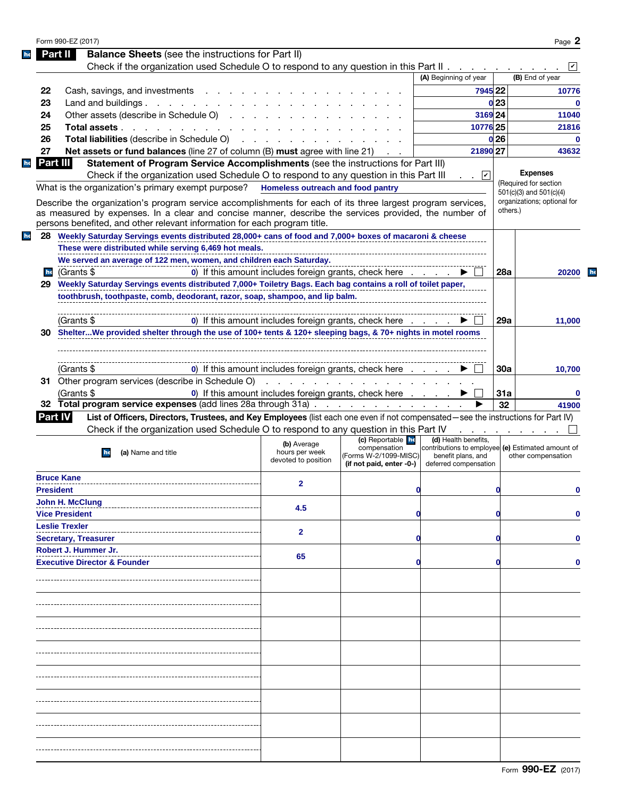|    | <b>Balance Sheets</b> (see the instructions for Part II)<br>Part II                                                                                                                                                                                                                               |                                                                                                                 |                                                                                        |                                                                                                                          |                 |                                                  |
|----|---------------------------------------------------------------------------------------------------------------------------------------------------------------------------------------------------------------------------------------------------------------------------------------------------|-----------------------------------------------------------------------------------------------------------------|----------------------------------------------------------------------------------------|--------------------------------------------------------------------------------------------------------------------------|-----------------|--------------------------------------------------|
|    | Check if the organization used Schedule O to respond to any question in this Part II.                                                                                                                                                                                                             |                                                                                                                 |                                                                                        |                                                                                                                          |                 |                                                  |
|    |                                                                                                                                                                                                                                                                                                   |                                                                                                                 |                                                                                        | (A) Beginning of year                                                                                                    |                 | (B) End of year                                  |
| 22 | Cash, savings, and investments                                                                                                                                                                                                                                                                    |                                                                                                                 |                                                                                        | 7945 22                                                                                                                  |                 | 10776                                            |
| 23 | Land and buildings.<br>and the company of the company of                                                                                                                                                                                                                                          |                                                                                                                 |                                                                                        |                                                                                                                          | 0 <sub>23</sub> | $\bf{0}$                                         |
| 24 | Other assets (describe in Schedule O).                                                                                                                                                                                                                                                            |                                                                                                                 |                                                                                        | 3169 24                                                                                                                  |                 | 11040                                            |
| 25 | Total assets                                                                                                                                                                                                                                                                                      |                                                                                                                 |                                                                                        | 10776 25                                                                                                                 |                 | 21816                                            |
|    |                                                                                                                                                                                                                                                                                                   |                                                                                                                 |                                                                                        |                                                                                                                          |                 |                                                  |
| 26 | Total liabilities (describe in Schedule O)                                                                                                                                                                                                                                                        | the contract of the contract of the contract of the contract of the contract of the contract of the contract of |                                                                                        |                                                                                                                          | 0 <sub>26</sub> | $\bf{0}$                                         |
| 27 | <b>Net assets or fund balances</b> (line 27 of column (B) must agree with line 21)                                                                                                                                                                                                                |                                                                                                                 |                                                                                        | 21890 27                                                                                                                 |                 | 43632                                            |
|    | Part III<br>Statement of Program Service Accomplishments (see the instructions for Part III)                                                                                                                                                                                                      |                                                                                                                 |                                                                                        |                                                                                                                          |                 |                                                  |
|    | Check if the organization used Schedule O to respond to any question in this Part III                                                                                                                                                                                                             |                                                                                                                 |                                                                                        | $\cdot$ $\vee$                                                                                                           |                 | <b>Expenses</b>                                  |
|    | What is the organization's primary exempt purpose? Homeless outreach and food pantry                                                                                                                                                                                                              |                                                                                                                 |                                                                                        |                                                                                                                          |                 | (Required for section<br>501(c)(3) and 501(c)(4) |
|    | Describe the organization's program service accomplishments for each of its three largest program services,<br>as measured by expenses. In a clear and concise manner, describe the services provided, the number of<br>persons benefited, and other relevant information for each program title. |                                                                                                                 |                                                                                        |                                                                                                                          | others.)        | organizations; optional for                      |
|    | 28 Weekly Saturday Servings events distributed 28,000+ cans of food and 7,000+ boxes of macaroni & cheese                                                                                                                                                                                         |                                                                                                                 |                                                                                        |                                                                                                                          |                 |                                                  |
|    | These were distributed while serving 6,469 hot meals.                                                                                                                                                                                                                                             |                                                                                                                 |                                                                                        |                                                                                                                          |                 |                                                  |
|    | We served an average of 122 men, women, and children each Saturday.                                                                                                                                                                                                                               |                                                                                                                 |                                                                                        |                                                                                                                          |                 |                                                  |
| he | (Grants \$                                                                                                                                                                                                                                                                                        |                                                                                                                 | 0) If this amount includes foreign grants, check here                                  |                                                                                                                          | 28a             | 20200                                            |
|    |                                                                                                                                                                                                                                                                                                   |                                                                                                                 |                                                                                        |                                                                                                                          |                 |                                                  |
| 29 | Weekly Saturday Servings events distributed 7,000+ Toiletry Bags. Each bag contains a roll of toilet paper,                                                                                                                                                                                       |                                                                                                                 |                                                                                        |                                                                                                                          |                 |                                                  |
|    | toothbrush, toothpaste, comb, deodorant, razor, soap, shampoo, and lip balm.                                                                                                                                                                                                                      |                                                                                                                 |                                                                                        |                                                                                                                          |                 |                                                  |
|    |                                                                                                                                                                                                                                                                                                   |                                                                                                                 |                                                                                        |                                                                                                                          |                 |                                                  |
|    | (Grants \$                                                                                                                                                                                                                                                                                        |                                                                                                                 | 0) If this amount includes foreign grants, check here                                  |                                                                                                                          | 29a             | 11,000                                           |
| 30 | ShelterWe provided shelter through the use of 100+ tents & 120+ sleeping bags, & 70+ nights in motel rooms                                                                                                                                                                                        |                                                                                                                 |                                                                                        |                                                                                                                          |                 |                                                  |
|    |                                                                                                                                                                                                                                                                                                   |                                                                                                                 |                                                                                        |                                                                                                                          |                 |                                                  |
|    |                                                                                                                                                                                                                                                                                                   |                                                                                                                 |                                                                                        |                                                                                                                          |                 |                                                  |
|    | (Grants \$                                                                                                                                                                                                                                                                                        |                                                                                                                 | 0) If this amount includes foreign grants, check here                                  |                                                                                                                          | 30a             | 10,700                                           |
|    | 31 Other program services (describe in Schedule O)                                                                                                                                                                                                                                                |                                                                                                                 | .                                                                                      |                                                                                                                          |                 |                                                  |
|    |                                                                                                                                                                                                                                                                                                   |                                                                                                                 |                                                                                        |                                                                                                                          |                 |                                                  |
|    | (Grants \$<br>32 Total program service expenses (add lines 28a through 31a)                                                                                                                                                                                                                       |                                                                                                                 | 0) If this amount includes foreign grants, check here                                  |                                                                                                                          | 31a             | 0                                                |
|    |                                                                                                                                                                                                                                                                                                   |                                                                                                                 |                                                                                        |                                                                                                                          |                 |                                                  |
|    |                                                                                                                                                                                                                                                                                                   |                                                                                                                 |                                                                                        |                                                                                                                          | 32              |                                                  |
|    | List of Officers, Directors, Trustees, and Key Employees (list each one even if not compensated—see the instructions for Part IV)<br><b>Part IV</b>                                                                                                                                               |                                                                                                                 |                                                                                        |                                                                                                                          |                 |                                                  |
|    | Check if the organization used Schedule O to respond to any question in this Part IV                                                                                                                                                                                                              |                                                                                                                 |                                                                                        |                                                                                                                          |                 | 41900                                            |
|    | (a) Name and title<br>he                                                                                                                                                                                                                                                                          | (b) Average<br>hours per week<br>devoted to position                                                            | (c) Reportable he<br>compensation<br>(Forms W-2/1099-MISC)<br>(if not paid, enter -0-) | (d) Health benefits,<br>contributions to employee (e) Estimated amount of<br>benefit plans, and<br>deferred compensation |                 | other compensation                               |
|    | <b>Bruce Kane</b>                                                                                                                                                                                                                                                                                 |                                                                                                                 |                                                                                        |                                                                                                                          |                 |                                                  |
|    | <b>President</b>                                                                                                                                                                                                                                                                                  | 2                                                                                                               | 0                                                                                      |                                                                                                                          | O               | 0                                                |
|    |                                                                                                                                                                                                                                                                                                   |                                                                                                                 |                                                                                        |                                                                                                                          |                 |                                                  |
|    | <b>John H. McClung</b>                                                                                                                                                                                                                                                                            | 4.5                                                                                                             | O                                                                                      |                                                                                                                          |                 |                                                  |
|    | <b>Vice President</b>                                                                                                                                                                                                                                                                             |                                                                                                                 |                                                                                        |                                                                                                                          |                 |                                                  |
|    | <b>Leslie Trexler</b>                                                                                                                                                                                                                                                                             | $\mathbf{2}$                                                                                                    |                                                                                        |                                                                                                                          |                 |                                                  |
|    | <b>Secretary, Treasurer</b>                                                                                                                                                                                                                                                                       |                                                                                                                 |                                                                                        |                                                                                                                          |                 |                                                  |
|    | Robert J. Hummer Jr.                                                                                                                                                                                                                                                                              |                                                                                                                 |                                                                                        |                                                                                                                          |                 |                                                  |
|    | <b>Executive Director &amp; Founder</b>                                                                                                                                                                                                                                                           | 65                                                                                                              |                                                                                        |                                                                                                                          |                 |                                                  |
|    |                                                                                                                                                                                                                                                                                                   |                                                                                                                 |                                                                                        |                                                                                                                          |                 |                                                  |
|    |                                                                                                                                                                                                                                                                                                   |                                                                                                                 |                                                                                        |                                                                                                                          |                 |                                                  |
|    |                                                                                                                                                                                                                                                                                                   |                                                                                                                 |                                                                                        |                                                                                                                          |                 |                                                  |
|    |                                                                                                                                                                                                                                                                                                   |                                                                                                                 |                                                                                        |                                                                                                                          |                 |                                                  |
|    |                                                                                                                                                                                                                                                                                                   |                                                                                                                 |                                                                                        |                                                                                                                          |                 |                                                  |
|    |                                                                                                                                                                                                                                                                                                   |                                                                                                                 |                                                                                        |                                                                                                                          |                 |                                                  |
|    |                                                                                                                                                                                                                                                                                                   |                                                                                                                 |                                                                                        |                                                                                                                          |                 |                                                  |
|    |                                                                                                                                                                                                                                                                                                   |                                                                                                                 |                                                                                        |                                                                                                                          |                 |                                                  |
|    |                                                                                                                                                                                                                                                                                                   |                                                                                                                 |                                                                                        |                                                                                                                          |                 |                                                  |
|    |                                                                                                                                                                                                                                                                                                   |                                                                                                                 |                                                                                        |                                                                                                                          |                 |                                                  |
|    |                                                                                                                                                                                                                                                                                                   |                                                                                                                 |                                                                                        |                                                                                                                          |                 |                                                  |
|    |                                                                                                                                                                                                                                                                                                   |                                                                                                                 |                                                                                        |                                                                                                                          |                 |                                                  |
|    |                                                                                                                                                                                                                                                                                                   |                                                                                                                 |                                                                                        |                                                                                                                          |                 |                                                  |
|    |                                                                                                                                                                                                                                                                                                   |                                                                                                                 |                                                                                        |                                                                                                                          |                 |                                                  |
|    |                                                                                                                                                                                                                                                                                                   |                                                                                                                 |                                                                                        |                                                                                                                          |                 |                                                  |
|    |                                                                                                                                                                                                                                                                                                   |                                                                                                                 |                                                                                        |                                                                                                                          |                 |                                                  |
|    |                                                                                                                                                                                                                                                                                                   |                                                                                                                 |                                                                                        |                                                                                                                          |                 |                                                  |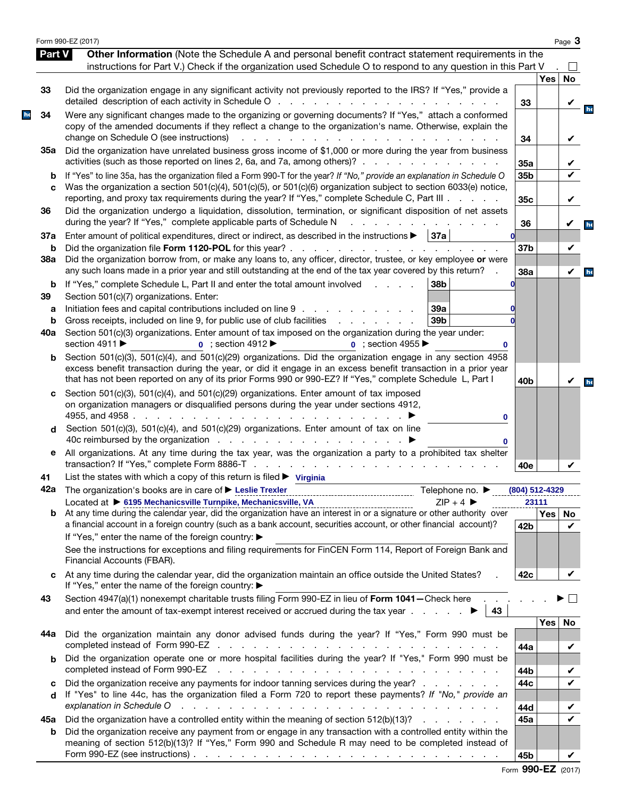|               | Form 990-EZ (2017)                                                                                                                                                                                                                                                                                                                               |                 |                           | Page 3       |
|---------------|--------------------------------------------------------------------------------------------------------------------------------------------------------------------------------------------------------------------------------------------------------------------------------------------------------------------------------------------------|-----------------|---------------------------|--------------|
| <b>Part V</b> | Other Information (Note the Schedule A and personal benefit contract statement requirements in the<br>instructions for Part V.) Check if the organization used Schedule O to respond to any question in this Part V                                                                                                                              |                 |                           |              |
|               |                                                                                                                                                                                                                                                                                                                                                  |                 | <b>Yes</b>                | <b>No</b>    |
| 33            | Did the organization engage in any significant activity not previously reported to the IRS? If "Yes," provide a                                                                                                                                                                                                                                  |                 |                           |              |
| 34            | Were any significant changes made to the organizing or governing documents? If "Yes," attach a conformed<br>copy of the amended documents if they reflect a change to the organization's name. Otherwise, explain the                                                                                                                            | 33              |                           | V            |
|               | change on Schedule O (see instructions)<br>a na kama na kama na kama na ka<br>Did the organization have unrelated business gross income of \$1,000 or more during the year from business                                                                                                                                                         | 34              |                           | V            |
| 35а           | activities (such as those reported on lines 2, 6a, and 7a, among others)?                                                                                                                                                                                                                                                                        | 35a             |                           |              |
| b<br>C        | If "Yes" to line 35a, has the organization filed a Form 990-T for the year? If "No," provide an explanation in Schedule O<br>Was the organization a section 501(c)(4), 501(c)(5), or 501(c)(6) organization subject to section 6033(e) notice,<br>reporting, and proxy tax requirements during the year? If "Yes," complete Schedule C, Part III | 35b<br>35c      |                           | V<br>V       |
| 36            | Did the organization undergo a liquidation, dissolution, termination, or significant disposition of net assets<br>during the year? If "Yes," complete applicable parts of Schedule N                                                                                                                                                             | 36              |                           | V            |
| 37a<br>b      | Enter amount of political expenditures, direct or indirect, as described in the instructions $\blacktriangleright$<br> 37a                                                                                                                                                                                                                       | 37 <sub>b</sub> |                           | V            |
| 38a           | Did the organization borrow from, or make any loans to, any officer, director, trustee, or key employee or were<br>any such loans made in a prior year and still outstanding at the end of the tax year covered by this return?                                                                                                                  | 38a             |                           | $\checkmark$ |
| b<br>39       | If "Yes," complete Schedule L, Part II and enter the total amount involved<br>38b<br>$\mathbf{L}$ and $\mathbf{L}$ and $\mathbf{L}$<br>Section 501(c)(7) organizations. Enter:                                                                                                                                                                   |                 |                           |              |
| a<br>b        | Initiation fees and capital contributions included on line 9<br>39a<br>39 <sub>b</sub><br>Gross receipts, included on line 9, for public use of club facilities<br>and a straight and                                                                                                                                                            |                 |                           |              |
| 40a           | Section 501(c)(3) organizations. Enter amount of tax imposed on the organization during the year under:<br>section 4911 ▶<br>$\bullet$ ; section 4912<br><b>0</b> : section 4955<br>0                                                                                                                                                            |                 |                           |              |
| b             | Section 501(c)(3), 501(c)(4), and 501(c)(29) organizations. Did the organization engage in any section 4958<br>excess benefit transaction during the year, or did it engage in an excess benefit transaction in a prior year<br>that has not been reported on any of its prior Forms 990 or 990-EZ? If "Yes," complete Schedule L, Part I        | 40 <sub>b</sub> |                           | V            |
| c             | Section 501(c)(3), 501(c)(4), and 501(c)(29) organizations. Enter amount of tax imposed<br>on organization managers or disqualified persons during the year under sections 4912,<br>4955, and 4958.<br>and the contract of the contract of<br>0                                                                                                  |                 |                           |              |
| d             | Section 501(c)(3), 501(c)(4), and 501(c)(29) organizations. Enter amount of tax on line<br>0                                                                                                                                                                                                                                                     |                 |                           |              |
| е             | All organizations. At any time during the tax year, was the organization a party to a prohibited tax shelter                                                                                                                                                                                                                                     | 40e             |                           |              |
| 41            | List the states with which a copy of this return is filed $\triangleright$ Virginia                                                                                                                                                                                                                                                              |                 |                           |              |
|               | <b>42a</b> The organization's books are in care of ► Leslie Trexler<br>Telephone no. $\blacktriangleright$                                                                                                                                                                                                                                       |                 | (804) 512-4329            |              |
| b             | Located at ▶ 6195 Mechanicsville Turnpike, Mechanicsville, VA<br>$ZIP + 4$<br>At any time during the calendar year, did the organization have an interest in or a signature or other authority over                                                                                                                                              |                 | 23111<br>Yes <sub>1</sub> |              |
|               | a financial account in a foreign country (such as a bank account, securities account, or other financial account)?<br>If "Yes," enter the name of the foreign country: ▶                                                                                                                                                                         | 42b             |                           | No<br>✓      |
|               | See the instructions for exceptions and filing requirements for FinCEN Form 114, Report of Foreign Bank and<br>Financial Accounts (FBAR).                                                                                                                                                                                                        |                 |                           |              |
| C             | At any time during the calendar year, did the organization maintain an office outside the United States?<br>If "Yes," enter the name of the foreign country: ▶                                                                                                                                                                                   | 42c             |                           |              |
| 43            | Section 4947(a)(1) nonexempt charitable trusts filing Form 990-EZ in lieu of Form 1041-Check here<br>43                                                                                                                                                                                                                                          |                 |                           |              |
| 44а           | Did the organization maintain any donor advised funds during the year? If "Yes," Form 990 must be                                                                                                                                                                                                                                                | 44a             | <b>Yes</b>                | No<br>V      |
| b             | Did the organization operate one or more hospital facilities during the year? If "Yes," Form 990 must be                                                                                                                                                                                                                                         | 44b             |                           | V            |
| c<br>d        | Did the organization receive any payments for indoor tanning services during the year?<br>If "Yes" to line 44c, has the organization filed a Form 720 to report these payments? If "No," provide an                                                                                                                                              | 44c             |                           | V            |
| 45а           | explanation in Schedule O response a response a response in the set of the set of the set of the set of the set of the set of the set of the set of the set of the set of the set of the set of the set of the set of the set<br>Did the organization have a controlled entity within the meaning of section 512(b)(13)?                         | 44d<br>45a      |                           | V            |
| b             | Did the organization receive any payment from or engage in any transaction with a controlled entity within the<br>meaning of section 512(b)(13)? If "Yes," Form 990 and Schedule R may need to be completed instead of                                                                                                                           |                 |                           |              |
|               |                                                                                                                                                                                                                                                                                                                                                  | 45b             |                           |              |

Form 990-EZ (2017)